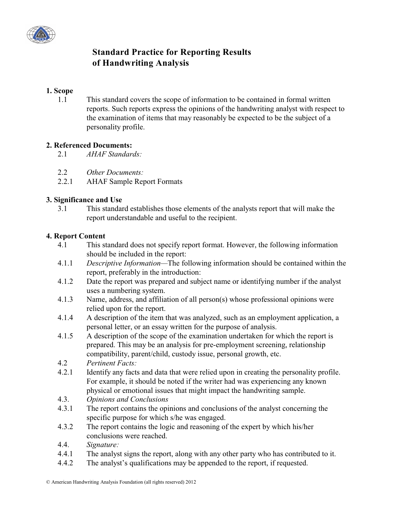

# **Standard Practice for Reporting Results of Handwriting Analysis**

## **1. Scope**

1.1 This standard covers the scope of information to be contained in formal written reports. Such reports express the opinions of the handwriting analyst with respect to the examination of items that may reasonably be expected to be the subject of a personality profile.

### **2. Referenced Documents:**

- 2.1 *AHAF Standards:*
- 2.2 *Other Documents:*
- 2.2.1 AHAF Sample Report Formats

### **3. Significance and Use**

3.1 This standard establishes those elements of the analysts report that will make the report understandable and useful to the recipient.

### **4. Report Content**

- 4.1 This standard does not specify report format. However, the following information should be included in the report:
- 4.1.1 *Descriptive Information—*The following information should be contained within the report, preferably in the introduction:
- 4.1.2 Date the report was prepared and subject name or identifying number if the analyst uses a numbering system.
- 4.1.3 Name, address, and affiliation of all person(s) whose professional opinions were relied upon for the report.
- 4.1.4 A description of the item that was analyzed, such as an employment application, a personal letter, or an essay written for the purpose of analysis.
- 4.1.5 A description of the scope of the examination undertaken for which the report is prepared. This may be an analysis for pre-employment screening, relationship compatibility, parent/child, custody issue, personal growth, etc.
- 4.2 *Pertinent Facts:*
- 4.2.1 Identify any facts and data that were relied upon in creating the personality profile. For example, it should be noted if the writer had was experiencing any known physical or emotional issues that might impact the handwriting sample.
- 4.3. *Opinions and Conclusions*
- 4.3.1 The report contains the opinions and conclusions of the analyst concerning the specific purpose for which s/he was engaged.
- 4.3.2 The report contains the logic and reasoning of the expert by which his/her conclusions were reached.
- 4.4. *Signature:*
- 4.4.1 The analyst signs the report, along with any other party who has contributed to it.
- 4.4.2 The analyst's qualifications may be appended to the report, if requested.